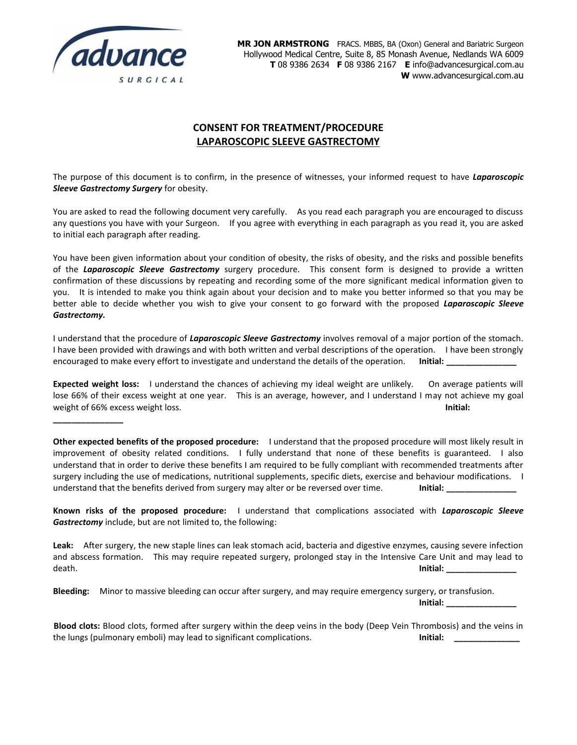

**\_\_\_\_\_\_\_\_\_\_\_\_\_\_\_**

**MR JON ARMSTRONG** FRACS. MBBS, BA (Oxon) General and Bariatric Surgeon Hollywood Medical Centre, Suite 8, 85 Monash Avenue, Nedlands WA 6009 **T** 08 9386 2634 **F** 08 9386 2167 **E** info@advancesurgical.com.au **W** www.advancesurgical.com.au

# **CONSENT FOR TREATMENT/PROCEDURE LAPAROSCOPIC SLEEVE GASTRECTOMY**

The purpose of this document is to confirm, in the presence of witnesses, your informed request to have *Laparoscopic Sleeve Gastrectomy Surgery* for obesity.

You are asked to read the following document very carefully. As you read each paragraph you are encouraged to discuss any questions you have with your Surgeon. If you agree with everything in each paragraph as you read it, you are asked to initial each paragraph after reading.

You have been given information about your condition of obesity, the risks of obesity, and the risks and possible benefits of the *Laparoscopic Sleeve Gastrectomy* surgery procedure. This consent form is designed to provide a written confirmation of these discussions by repeating and recording some of the more significant medical information given to you. It is intended to make you think again about your decision and to make you better informed so that you may be better able to decide whether you wish to give your consent to go forward with the proposed *Laparoscopic Sleeve Gastrectomy.*

I understand that the procedure of *Laparoscopic Sleeve Gastrectomy* involves removal of a major portion of the stomach. I have been provided with drawings and with both written and verbal descriptions of the operation. I have been strongly encouraged to make every effort to investigate and understand the details of the operation. **Initial:** 

**Expected weight loss:** I understand the chances of achieving my ideal weight are unlikely. On average patients will lose 66% of their excess weight at one year. This is an average, however, and I understand I may not achieve my goal weight of 66% excess weight loss. **Initial:** 

**Other expected benefits of the proposed procedure:** I understand that the proposed procedure will most likely result in improvement of obesity related conditions. I fully understand that none of these benefits is guaranteed. I also understand that in order to derive these benefits I am required to be fully compliant with recommended treatments after surgery including the use of medications, nutritional supplements, specific diets, exercise and behaviour modifications. I understand that the benefits derived from surgery may alter or be reversed over time. **Initial:** 

**Known risks of the proposed procedure:** I understand that complications associated with *Laparoscopic Sleeve Gastrectomy* include, but are not limited to, the following:

**Leak:** After surgery, the new staple lines can leak stomach acid, bacteria and digestive enzymes, causing severe infection and abscess formation. This may require repeated surgery, prolonged stay in the Intensive Care Unit and may lead to death. **Initial: \_\_\_\_\_\_\_\_\_\_\_\_\_\_\_**

**Bleeding:** Minor to massive bleeding can occur after surgery, and may require emergency surgery, or transfusion.

**Initial: \_\_\_\_\_\_\_\_\_\_\_\_\_\_\_**

**Blood clots:** Blood clots, formed after surgery within the deep veins in the body (Deep Vein Thrombosis) and the veins in the lungs (pulmonary emboli) may lead to significant complications. **Initial: Initial: Initial:**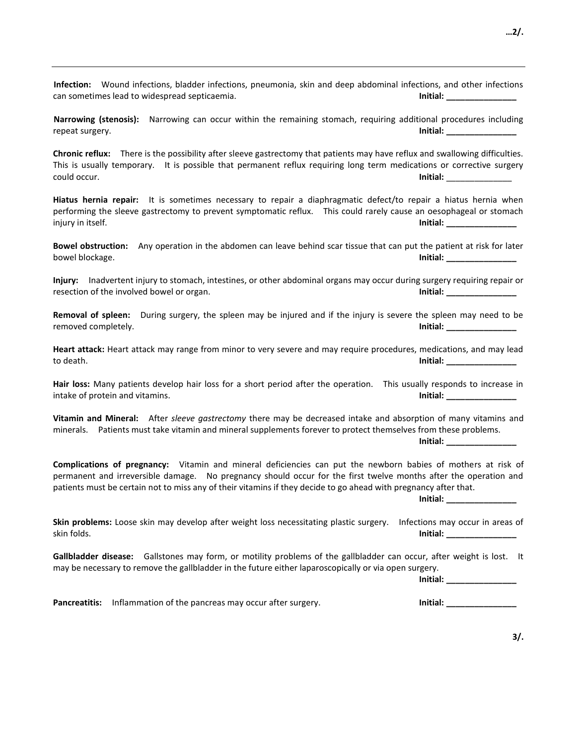| Infection: Wound infections, bladder infections, pneumonia, skin and deep abdominal infections, and other infections<br>can sometimes lead to widespread septicaemia.<br>$Initial: ____________$                                                                                                                                                                                                                                                                           |
|----------------------------------------------------------------------------------------------------------------------------------------------------------------------------------------------------------------------------------------------------------------------------------------------------------------------------------------------------------------------------------------------------------------------------------------------------------------------------|
| Narrowing (stenosis): Narrowing can occur within the remaining stomach, requiring additional procedures including<br>$Initial: ____________$<br>repeat surgery.                                                                                                                                                                                                                                                                                                            |
| Chronic reflux: There is the possibility after sleeve gastrectomy that patients may have reflux and swallowing difficulties.<br>This is usually temporary. It is possible that permanent reflux requiring long term medications or corrective surgery<br>could occur.<br>$Initial: ____________$                                                                                                                                                                           |
| Hiatus hernia repair: It is sometimes necessary to repair a diaphragmatic defect/to repair a hiatus hernia when<br>performing the sleeve gastrectomy to prevent symptomatic reflux.  This could rarely cause an oesophageal or stomach<br>injury in itself.<br>$Initial: ____________$                                                                                                                                                                                     |
| <b>Bowel obstruction:</b><br>Any operation in the abdomen can leave behind scar tissue that can put the patient at risk for later<br>bowel blockage.<br>$Initial: ____________$                                                                                                                                                                                                                                                                                            |
| Inadvertent injury to stomach, intestines, or other abdominal organs may occur during surgery requiring repair or<br>Injury:<br>resection of the involved bowel or organ.<br>$Initial: ____________$                                                                                                                                                                                                                                                                       |
| Removal of spleen: During surgery, the spleen may be injured and if the injury is severe the spleen may need to be<br>removed completely.<br>$Initial: ____________$                                                                                                                                                                                                                                                                                                       |
| Heart attack: Heart attack may range from minor to very severe and may require procedures, medications, and may lead<br>Initial: _________________<br>to death.                                                                                                                                                                                                                                                                                                            |
| Hair loss: Many patients develop hair loss for a short period after the operation. This usually responds to increase in<br>intake of protein and vitamins.<br>Initial: _________________                                                                                                                                                                                                                                                                                   |
| Vitamin and Mineral: After sleeve gastrectomy there may be decreased intake and absorption of many vitamins and<br>minerals. Patients must take vitamin and mineral supplements forever to protect themselves from these problems.<br>Initial: ____________________                                                                                                                                                                                                        |
| Complications of pregnancy: Vitamin and mineral deficiencies can put the newborn babies of mothers at risk of<br>permanent and irreversible damage.  No pregnancy should occur for the first twelve months after the operation and<br>patients must be certain not to miss any of their vitamins if they decide to go ahead with pregnancy after that.<br>lnitial: the control of the control of the control of the control of the control of the control of the control o |
| Skin problems: Loose skin may develop after weight loss necessitating plastic surgery.<br>Infections may occur in areas of<br>skin folds.<br>$Initial: ____________$                                                                                                                                                                                                                                                                                                       |
| Gallbladder disease: Gallstones may form, or motility problems of the gallbladder can occur, after weight is lost. It<br>may be necessary to remove the gallbladder in the future either laparoscopically or via open surgery.<br>$Initial: ____________$                                                                                                                                                                                                                  |
| Initial: _________________<br><b>Pancreatitis:</b><br>Inflammation of the pancreas may occur after surgery.                                                                                                                                                                                                                                                                                                                                                                |
|                                                                                                                                                                                                                                                                                                                                                                                                                                                                            |